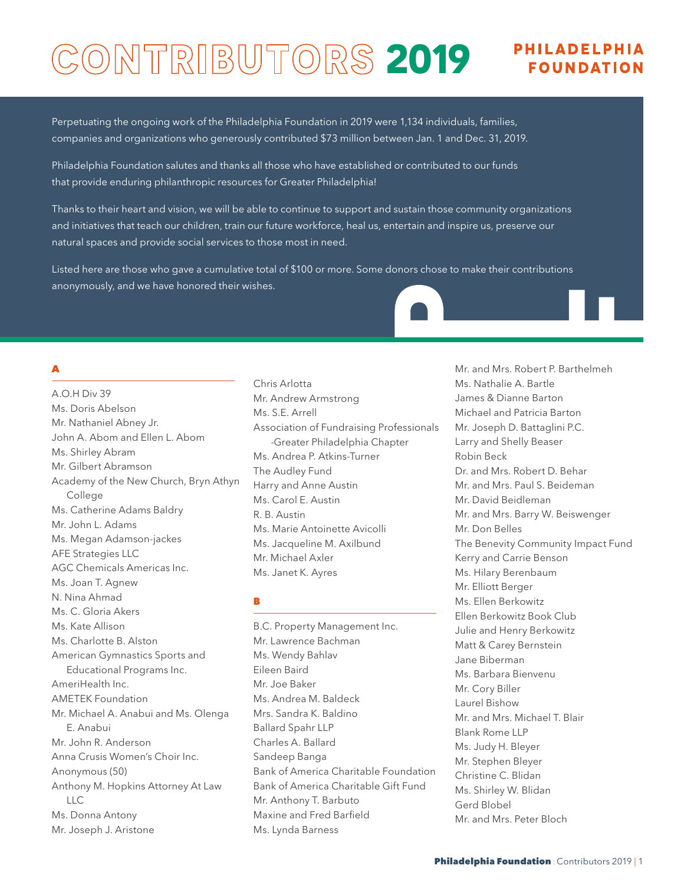# CONTRIBUTORS 2019 FULLADELPHIA

Perpetuating the ongoing work of the Philadelphia Foundation in 2019 were 1,134 individuals, families, companies and organizations who generously contributed \$73 million between Jan. 1 and Dec. 31, 2019.

Philadelphia Foundation salutes and thanks all those who have established or contributed to our funds that provide enduring philanthropic resources for Greater Philadelphia!

Thanks to their heart and vision, we will be able to continue to support and sustain those community organizations and initiatives that teach our children, train our future workforce, heal us, entertain and inspire us, preserve our natural spaces and provide social services to those most in need.

Listed here are those who gave a cumulative total of \$100 or more. Some donors chose to make their contributions anonymously, and we have honored their wishes.

# A

A.O.H Div 39 Ms. Doris Abelson Mr. Nathaniel Abney Jr. John A. Abom and Ellen L. Abom Ms. Shirley Abram Mr. Gilbert Abramson Academy of the New Church, Bryn Athyn College Ms. Catherine Adams Baldry Mr. John L. Adams Ms. Megan Adamson-jackes AFE Strategies LLC AGC Chemicals Americas Inc. Ms. Joan T. Agnew N. Nina Ahmad Ms. C. Gloria Akers Ms. Kate Allison Ms. Charlotte B. Alston American Gymnastics Sports and Educational Programs Inc. AmeriHealth Inc. AMETEK Foundation Mr. Michael A. Anabui and Ms. Olenga E. Anabui Mr. John R. Anderson Anna Crusis Women's Choir Inc. Anonymous (50) Anthony M. Hopkins Attorney At Law Ms. Donna Antony Mr. Joseph J. Aristone LLC

Chris Arlotta Mr. Andrew Armstrong Ms. S.E. Arrell Association of Fundraising Professionals -Greater Philadelphia Chapter Ms. Andrea P. Atkins-Turner The Audley Fund Harry and Anne Austin Ms. Carol E. Austin R. B. Austin Ms. Marie Antoinette Avicolli Ms. Jacqueline M. Axilbund Mr. Michael Axler Ms. Janet K. Ayres

#### B

B.C. Property Management Inc. Mr. Lawrence Bachman Ms. Wendy Bahlav Eileen Baird Mr. Joe Baker Ms. Andrea M. Baldeck Mrs. Sandra K. Baldino Ballard Spahr LLP Charles A. Ballard Sandeep Banga Bank of America Charitable Foundation Bank of America Charitable Gift Fund Mr. Anthony T. Barbuto Maxine and Fred Barfield Ms. Lynda Barness

Mr. and Mrs. Robert P. Barthelmeh Ms. Nathalie A. Bartle James & Dianne Barton Michael and Patricia Barton Mr. Joseph D. Battaglini P.C. Larry and Shelly Beaser Robin Beck Dr. and Mrs. Robert D. Behar Mr. and Mrs. Paul S. Beideman Mr. David Beidleman Mr. and Mrs. Barry W. Beiswenger Mr. Don Belles The Benevity Community Impact Fund Kerry and Carrie Benson Ms. Hilary Berenbaum Mr. Elliott Berger Ms. Ellen Berkowitz Ellen Berkowitz Book Club Julie and Henry Berkowitz Matt & Carey Bernstein Jane Biberman Ms. Barbara Bienvenu Mr. Cory Biller Laurel Bishow Mr. and Mrs. Michael T. Blair Blank Rome LLP Ms. Judy H. Bleyer Mr. Stephen Bleyer Christine C. Blidan Ms. Shirley W. Blidan Gerd Blobel Mr. and Mrs. Peter Bloch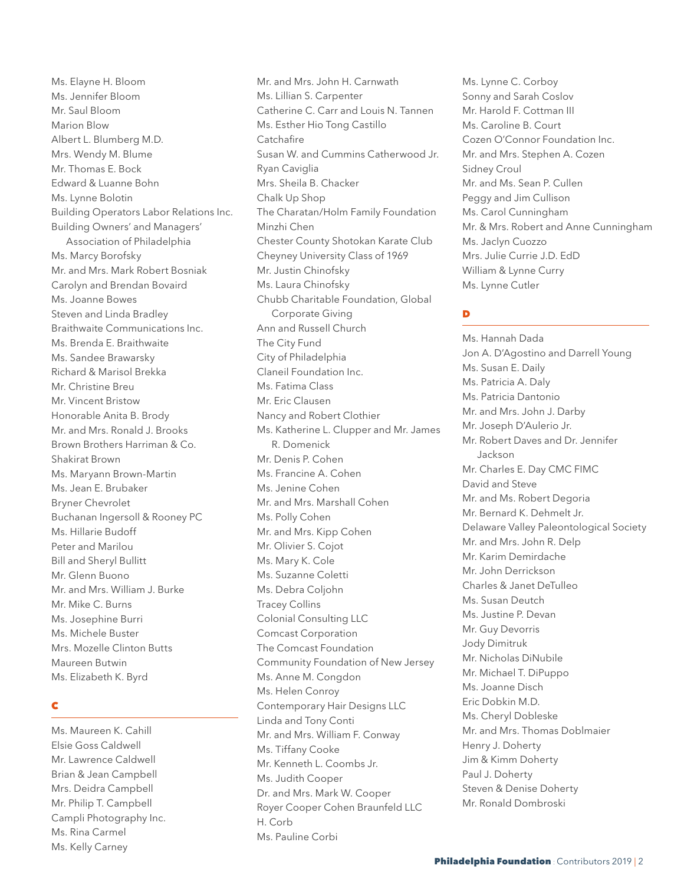Ms. Elayne H. Bloom Ms. Jennifer Bloom Mr. Saul Bloom Marion Blow Albert L. Blumberg M.D. Mrs. Wendy M. Blume Mr. Thomas E. Bock Edward & Luanne Bohn Ms. Lynne Bolotin Building Operators Labor Relations Inc. Building Owners' and Managers' Association of Philadelphia Ms. Marcy Borofsky Mr. and Mrs. Mark Robert Bosniak Carolyn and Brendan Bovaird Ms. Joanne Bowes Steven and Linda Bradley Braithwaite Communications Inc. Ms. Brenda E. Braithwaite Ms. Sandee Brawarsky Richard & Marisol Brekka Mr. Christine Breu Mr. Vincent Bristow Honorable Anita B. Brody Mr. and Mrs. Ronald J. Brooks Brown Brothers Harriman & Co. Shakirat Brown Ms. Maryann Brown-Martin Ms. Jean E. Brubaker Bryner Chevrolet Buchanan Ingersoll & Rooney PC Ms. Hillarie Budoff Peter and Marilou Bill and Sheryl Bullitt Mr. Glenn Buono Mr. and Mrs. William J. Burke Mr. Mike C. Burns Ms. Josephine Burri Ms. Michele Buster Mrs. Mozelle Clinton Butts Maureen Butwin Ms. Elizabeth K. Byrd

#### C

Ms. Maureen K. Cahill Elsie Goss Caldwell Mr. Lawrence Caldwell Brian & Jean Campbell Mrs. Deidra Campbell Mr. Philip T. Campbell Campli Photography Inc. Ms. Rina Carmel Ms. Kelly Carney

Mr. and Mrs. John H. Carnwath Ms. Lillian S. Carpenter Catherine C. Carr and Louis N. Tannen Ms. Esther Hio Tong Castillo **Catchafire** Susan W. and Cummins Catherwood Jr. Ryan Caviglia Mrs. Sheila B. Chacker Chalk Up Shop The Charatan/Holm Family Foundation Minzhi Chen Chester County Shotokan Karate Club Cheyney University Class of 1969 Mr. Justin Chinofsky Ms. Laura Chinofsky Chubb Charitable Foundation, Global Corporate Giving Ann and Russell Church The City Fund City of Philadelphia Claneil Foundation Inc. Ms. Fatima Class Mr. Eric Clausen Nancy and Robert Clothier Ms. Katherine L. Clupper and Mr. James R. Domenick Mr. Denis P. Cohen Ms. Francine A. Cohen Ms. Jenine Cohen Mr. and Mrs. Marshall Cohen Ms. Polly Cohen Mr. and Mrs. Kipp Cohen Mr. Olivier S. Cojot Ms. Mary K. Cole Ms. Suzanne Coletti Ms. Debra Coljohn Tracey Collins Colonial Consulting LLC Comcast Corporation The Comcast Foundation Community Foundation of New Jersey Ms. Anne M. Congdon Ms. Helen Conroy Contemporary Hair Designs LLC Linda and Tony Conti Mr. and Mrs. William F. Conway Ms. Tiffany Cooke Mr. Kenneth L. Coombs Jr. Ms. Judith Cooper Dr. and Mrs. Mark W. Cooper Royer Cooper Cohen Braunfeld LLC H. Corb Ms. Pauline Corbi

Ms. Lynne C. Corboy Sonny and Sarah Coslov Mr. Harold F. Cottman III Ms. Caroline B. Court Cozen O'Connor Foundation Inc. Mr. and Mrs. Stephen A. Cozen Sidney Croul Mr. and Ms. Sean P. Cullen Peggy and Jim Cullison Ms. Carol Cunningham Mr. & Mrs. Robert and Anne Cunningham Ms. Jaclyn Cuozzo Mrs. Julie Currie J.D. EdD William & Lynne Curry Ms. Lynne Cutler

# D

Ms. Hannah Dada Jon A. D'Agostino and Darrell Young Ms. Susan E. Daily Ms. Patricia A. Daly Ms. Patricia Dantonio Mr. and Mrs. John J. Darby Mr. Joseph D'Aulerio Jr. Mr. Robert Daves and Dr. Jennifer Jackson Mr. Charles E. Day CMC FIMC David and Steve Mr. and Ms. Robert Degoria Mr. Bernard K. Dehmelt Jr. Delaware Valley Paleontological Society Mr. and Mrs. John R. Delp Mr. Karim Demirdache Mr. John Derrickson Charles & Janet DeTulleo Ms. Susan Deutch Ms. Justine P. Devan Mr. Guy Devorris Jody Dimitruk Mr. Nicholas DiNubile Mr. Michael T. DiPuppo Ms. Joanne Disch Eric Dobkin M.D. Ms. Cheryl Dobleske Mr. and Mrs. Thomas Doblmaier Henry J. Doherty Jim & Kimm Doherty Paul J. Doherty Steven & Denise Doherty Mr. Ronald Dombroski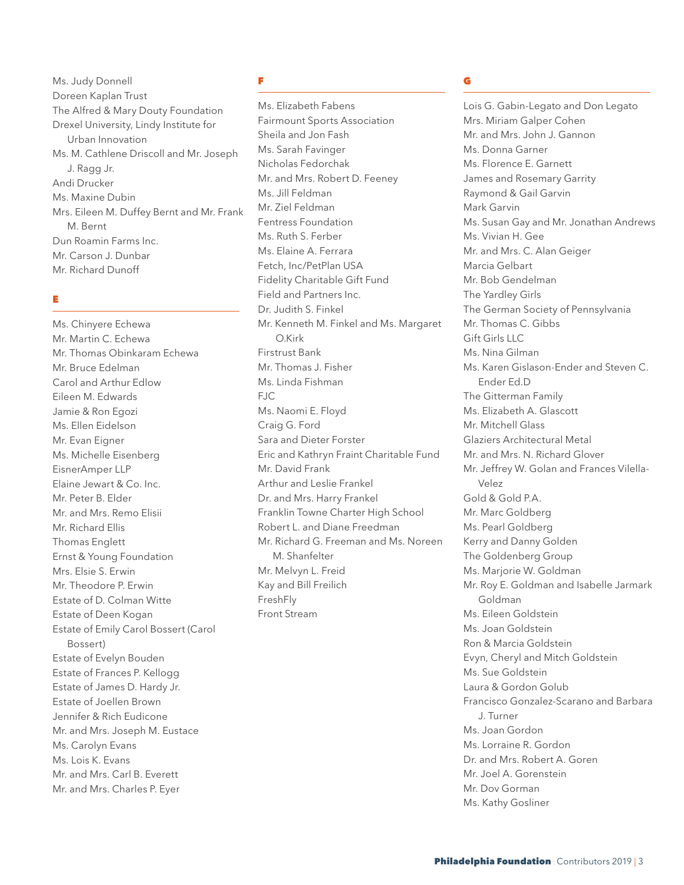Ms. Judy Donnell Doreen Kaplan Trust The Alfred & Mary Douty Foundation Drexel University, Lindy Institute for Urban Innovation Ms. M. Cathlene Driscoll and Mr. Joseph J. Ragg Jr. Andi Drucker Ms. Maxine Dubin Mrs. Eileen M. Duffey Bernt and Mr. Frank M. Bernt Dun Roamin Farms Inc. Mr. Carson J. Dunbar Mr. Richard Dunoff

#### E

Ms. Chinyere Echewa Mr. Martin C. Echewa Mr. Thomas Obinkaram Echewa Mr. Bruce Edelman Carol and Arthur Edlow Eileen M. Edwards Jamie & Ron Egozi Ms. Ellen Eidelson Mr. Evan Eigner Ms. Michelle Eisenberg EisnerAmper LLP Elaine Jewart & Co. Inc. Mr. Peter B. Elder Mr. and Mrs. Remo Elisii Mr. Richard Ellis Thomas Englett Ernst & Young Foundation Mrs. Elsie S. Erwin Mr. Theodore P. Erwin Estate of D. Colman Witte Estate of Deen Kogan Estate of Emily Carol Bossert (Carol Bossert) Estate of Evelyn Bouden Estate of Frances P. Kellogg Estate of James D. Hardy Jr. Estate of Joellen Brown Jennifer & Rich Eudicone Mr. and Mrs. Joseph M. Eustace Ms. Carolyn Evans Ms. Lois K. Evans Mr. and Mrs. Carl B. Everett Mr. and Mrs. Charles P. Eyer

#### F

Ms. Elizabeth Fabens Fairmount Sports Association Sheila and Jon Fash Ms. Sarah Favinger Nicholas Fedorchak Mr. and Mrs. Robert D. Feeney Ms. Jill Feldman Mr. Ziel Feldman Fentress Foundation Ms. Ruth S. Ferber Ms. Elaine A. Ferrara Fetch, Inc/PetPlan USA Fidelity Charitable Gift Fund Field and Partners Inc. Dr. Judith S. Finkel Mr. Kenneth M. Finkel and Ms. Margaret O. Kirk Firstrust Bank Mr. Thomas J. Fisher Ms. Linda Fishman FJC Ms. Naomi E. Floyd Craig G. Ford Sara and Dieter Forster Eric and Kathryn Fraint Charitable Fund Mr. David Frank Arthur and Leslie Frankel Dr. and Mrs. Harry Frankel Franklin Towne Charter High School Robert L. and Diane Freedman Mr. Richard G. Freeman and Ms. Noreen M. Shanfelter Mr. Melvyn L. Freid Kay and Bill Freilich FreshFly Front Stream

# G

Lois G. Gabin-Legato and Don Legato Mrs. Miriam Galper Cohen Mr. and Mrs. John J. Gannon Ms. Donna Garner Ms. Florence E. Garnett James and Rosemary Garrity Raymond & Gail Garvin Mark Garvin Ms. Susan Gay and Mr. Jonathan Andrews Ms. Vivian H. Gee Mr. and Mrs. C. Alan Geiger Marcia Gelbart Mr. Bob Gendelman The Yardley Girls The German Society of Pennsylvania Mr. Thomas C. Gibbs Gift Girls LLC Ms. Nina Gilman Ms. Karen Gislason-Ender and Steven C. Ender Ed.D The Gitterman Family Ms. Elizabeth A. Glascott Mr. Mitchell Glass Glaziers Architectural Metal Mr. and Mrs. N. Richard Glover Mr. Jeffrey W. Golan and Frances Vilella- Velez Gold & Gold P.A. Mr. Marc Goldberg Ms. Pearl Goldberg Kerry and Danny Golden The Goldenberg Group Ms. Marjorie W. Goldman Mr. Roy E. Goldman and Isabelle Jarmark Goldman Ms. Eileen Goldstein Ms. Joan Goldstein Ron & Marcia Goldstein Evyn, Cheryl and Mitch Goldstein Ms. Sue Goldstein Laura & Gordon Golub Francisco Gonzalez-Scarano and Barbara J. Turner Ms. Joan Gordon Ms. Lorraine R. Gordon Dr. and Mrs. Robert A. Goren Mr. Joel A. Gorenstein Mr. Dov Gorman Ms. Kathy Gosliner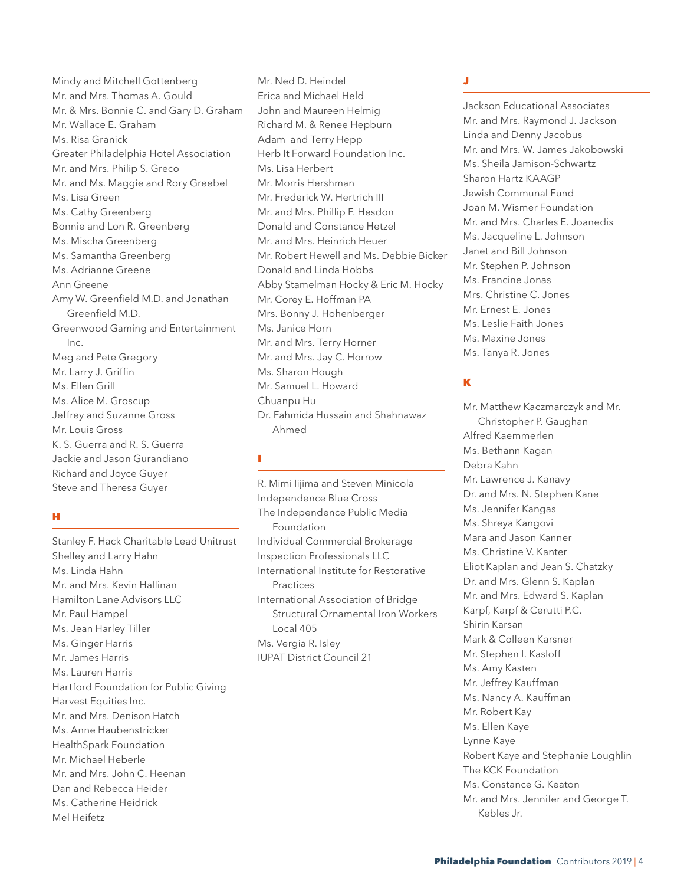Mindy and Mitchell Gottenberg Mr. and Mrs. Thomas A. Gould Mr. & Mrs. Bonnie C. and Gary D. Graham Mr. Wallace E. Graham Ms. Risa Granick Greater Philadelphia Hotel Association Mr. and Mrs. Philip S. Greco Mr. and Ms. Maggie and Rory Greebel Ms. Lisa Green Ms. Cathy Greenberg Bonnie and Lon R. Greenberg Ms. Mischa Greenberg Ms. Samantha Greenberg Ms. Adrianne Greene Ann Greene Amy W. Greenfield M.D. and Jonathan Greenfield M.D. Greenwood Gaming and Entertainment Inc. Meg and Pete Gregory Mr. Larry J. Griffin Ms. Ellen Grill Ms. Alice M. Groscup Jeffrey and Suzanne Gross Mr. Louis Gross K. S. Guerra and R. S. Guerra Jackie and Jason Gurandiano Richard and Joyce Guyer Steve and Theresa Guyer

#### H

Stanley F. Hack Charitable Lead Unitrust Shelley and Larry Hahn Ms. Linda Hahn Mr. and Mrs. Kevin Hallinan Hamilton Lane Advisors LLC Mr. Paul Hampel Ms. Jean Harley Tiller Ms. Ginger Harris Mr. James Harris Ms. Lauren Harris Hartford Foundation for Public Giving Harvest Equities Inc. Mr. and Mrs. Denison Hatch Ms. Anne Haubenstricker HealthSpark Foundation Mr. Michael Heberle Mr. and Mrs. John C. Heenan Dan and Rebecca Heider Ms. Catherine Heidrick Mel Heifetz

Mr. Ned D. Heindel Erica and Michael Held John and Maureen Helmig Richard M. & Renee Hepburn Adam and Terry Hepp Herb It Forward Foundation Inc. Ms. Lisa Herbert Mr. Morris Hershman Mr. Frederick W. Hertrich III Mr. and Mrs. Phillip F. Hesdon Donald and Constance Hetzel Mr. and Mrs. Heinrich Heuer Mr. Robert Hewell and Ms. Debbie Bicker Donald and Linda Hobbs Abby Stamelman Hocky & Eric M. Hocky Mr. Corey E. Hoffman PA Mrs. Bonny J. Hohenberger Ms. Janice Horn Mr. and Mrs. Terry Horner Mr. and Mrs. Jay C. Horrow Ms. Sharon Hough Mr. Samuel L. Howard Chuanpu Hu Dr. Fahmida Hussain and Shahnawaz Ahmed

#### I

R. Mimi Iijima and Steven Minicola Independence Blue Cross The Independence Public Media Foundation Individual Commercial Brokerage Inspection Professionals LLC International Institute for Restorative Practices International Association of Bridge Structural Ornamental Iron Workers Local 405 Ms. Vergia R. Isley IUPAT District Council 21

# J

Jackson Educational Associates Mr. and Mrs. Raymond J. Jackson Linda and Denny Jacobus Mr. and Mrs. W. James Jakobowski Ms. Sheila Jamison-Schwartz Sharon Hartz KAAGP Jewish Communal Fund Joan M. Wismer Foundation Mr. and Mrs. Charles E. Joanedis Ms. Jacqueline L. Johnson Janet and Bill Johnson Mr. Stephen P. Johnson Ms. Francine Jonas Mrs. Christine C. Jones Mr. Ernest E. Jones Ms. Leslie Faith Jones Ms. Maxine Jones Ms. Tanya R. Jones

# K

Mr. Matthew Kaczmarczyk and Mr. Christopher P. Gaughan Alfred Kaemmerlen Ms. Bethann Kagan Debra Kahn Mr. Lawrence J. Kanavy Dr. and Mrs. N. Stephen Kane Ms. Jennifer Kangas Ms. Shreya Kangovi Mara and Jason Kanner Ms. Christine V. Kanter Eliot Kaplan and Jean S. Chatzky Dr. and Mrs. Glenn S. Kaplan Mr. and Mrs. Edward S. Kaplan Karpf, Karpf & Cerutti P.C. Shirin Karsan Mark & Colleen Karsner Mr. Stephen I. Kasloff Ms. Amy Kasten Mr. Jeffrey Kauffman Ms. Nancy A. Kauffman Mr. Robert Kay Ms. Ellen Kaye Lynne Kaye Robert Kaye and Stephanie Loughlin The KCK Foundation Ms. Constance G. Keaton Mr. and Mrs. Jennifer and George T. Kebles Jr.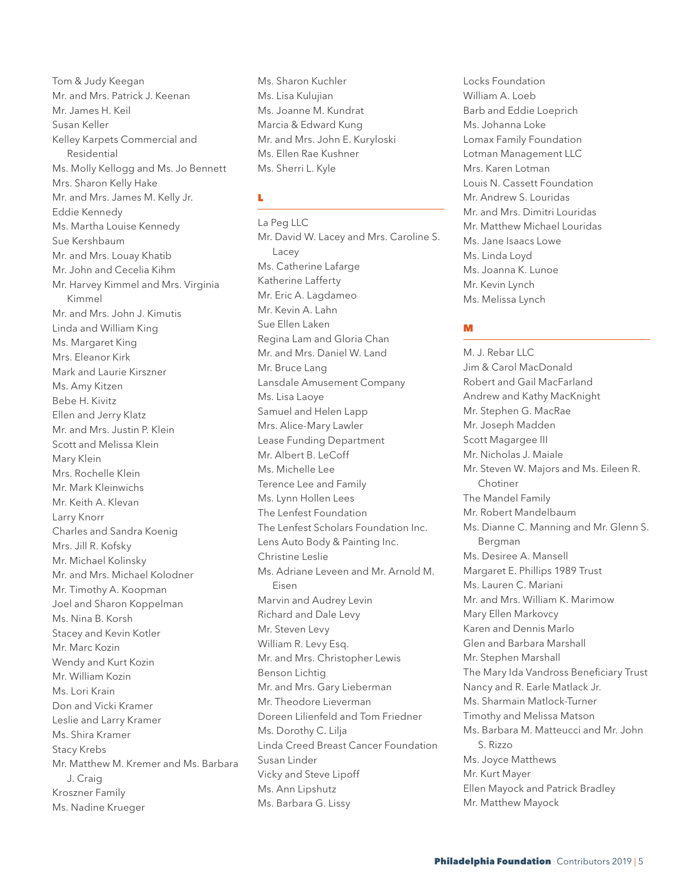Tom & Judy Keegan Mr. and Mrs. Patrick J. Keenan Mr. James H. Keil Susan Keller Kelley Karpets Commercial and Residential Ms. Molly Kellogg and Ms. Jo Bennett Mrs. Sharon Kelly Hake Mr. and Mrs. James M. Kelly Jr. Eddie Kennedy Ms. Martha Louise Kennedy Sue Kershbaum Mr. and Mrs. Louay Khatib Mr. John and Cecelia Kihm Mr. Harvey Kimmel and Mrs. Virginia Kimmel Mr. and Mrs. John J. Kimutis Linda and William King Ms. Margaret King Mrs. Eleanor Kirk Mark and Laurie Kirszner Ms. Amy Kitzen Bebe H. Kivitz Ellen and Jerry Klatz Mr. and Mrs. Justin P. Klein Scott and Melissa Klein Mary Klein Mrs. Rochelle Klein Mr. Mark Kleinwichs Mr. Keith A. Klevan Larry Knorr Charles and Sandra Koenig Mrs. Jill R. Kofsky Mr. Michael Kolinsky Mr. and Mrs. Michael Kolodner Mr. Timothy A. Koopman Joel and Sharon Koppelman Ms. Nina B. Korsh Stacey and Kevin Kotler Mr. Marc Kozin Wendy and Kurt Kozin Mr. William Kozin Ms. Lori Krain Don and Vicki Kramer Leslie and Larry Kramer Ms. Shira Kramer Stacy Krebs Mr. Matthew M. Kremer and Ms. Barbara J. Craig Kroszner Family Ms. Nadine Krueger

Ms. Sharon Kuchler Ms. Lisa Kulujian Ms. Joanne M. Kundrat Marcia & Edward Kung Mr. and Mrs. John E. Kuryloski Ms. Ellen Rae Kushner Ms. Sherri L. Kyle

#### L

La Peg LLC Mr. David W. Lacey and Mrs. Caroline S. Lacey Ms. Catherine Lafarge Katherine Lafferty Mr. Eric A. Lagdameo Mr. Kevin A. Lahn Sue Ellen Laken Regina Lam and Gloria Chan Mr. and Mrs. Daniel W. Land Mr. Bruce Lang Lansdale Amusement Company Ms. Lisa Laoye Samuel and Helen Lapp Mrs. Alice-Mary Lawler Lease Funding Department Mr. Albert B. LeCoff Ms. Michelle Lee Terence Lee and Family Ms. Lynn Hollen Lees The Lenfest Foundation The Lenfest Scholars Foundation Inc. Lens Auto Body & Painting Inc. Christine Leslie Ms. Adriane Leveen and Mr. Arnold M. Eisen Marvin and Audrey Levin Richard and Dale Levy Mr. Steven Levy William R. Levy Esq. Mr. and Mrs. Christopher Lewis Benson Lichtig Mr. and Mrs. Gary Lieberman Mr. Theodore Lieverman Doreen Lilienfeld and Tom Friedner Ms. Dorothy C. Lilja Linda Creed Breast Cancer Foundation Susan Linder Vicky and Steve Lipoff Ms. Ann Lipshutz Ms. Barbara G. Lissy

Locks Foundation William A. Loeb Barb and Eddie Loeprich Ms. Johanna Loke Lomax Family Foundation Lotman Management LLC Mrs. Karen Lotman Louis N. Cassett Foundation Mr. Andrew S. Louridas Mr. and Mrs. Dimitri Louridas Mr. Matthew Michael Louridas Ms. Jane Isaacs Lowe Ms. Linda Loyd Ms. Joanna K. Lunoe Mr. Kevin Lynch Ms. Melissa Lynch

# M

M. J. Rebar LLC. Jim & Carol MacDonald Robert and Gail MacFarland Andrew and Kathy MacKnight Mr. Stephen G. MacRae Mr. Joseph Madden Scott Magargee III Mr. Nicholas J. Maiale Mr. Steven W. Majors and Ms. Eileen R. Chotiner The Mandel Family Mr. Robert Mandelbaum Ms. Dianne C. Manning and Mr. Glenn S. Bergman Ms. Desiree A. Mansell Margaret E. Phillips 1989 Trust Ms. Lauren C. Mariani Mr. and Mrs. William K. Marimow Mary Ellen Markovcy Karen and Dennis Marlo Glen and Barbara Marshall Mr. Stephen Marshall The Mary Ida Vandross Beneficiary Trust Nancy and R. Earle Matlack Jr. Ms. Sharmain Matlock-Turner Timothy and Melissa Matson Ms. Barbara M. Matteucci and Mr. John S. Rizzo Ms. Joyce Matthews Mr. Kurt Mayer Ellen Mayock and Patrick Bradley Mr. Matthew Mayock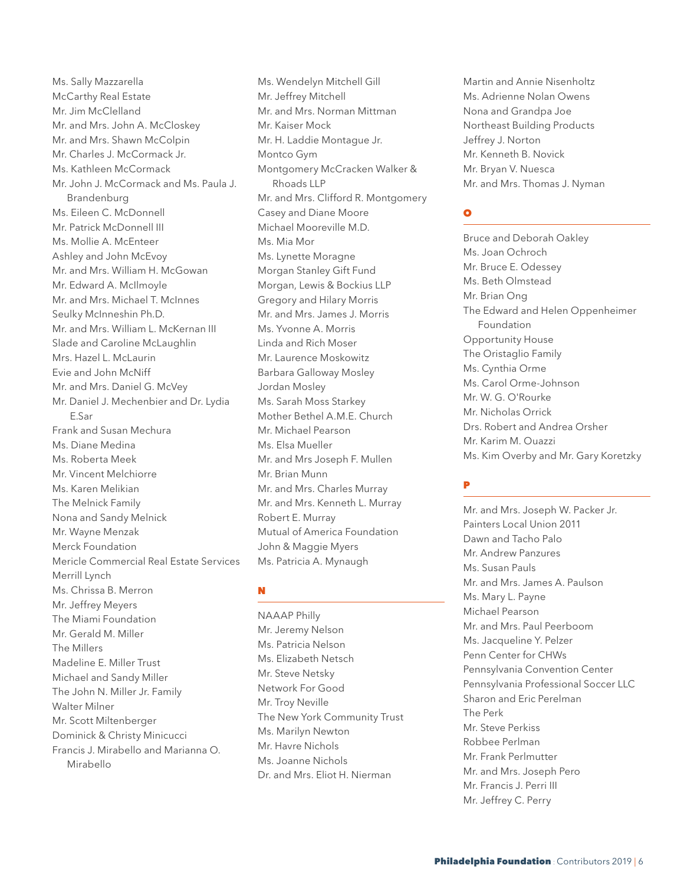Ms. Sally Mazzarella McCarthy Real Estate Mr. Jim McClelland Mr. and Mrs. John A. McCloskey Mr. and Mrs. Shawn McColpin Mr. Charles J. McCormack Jr. Ms. Kathleen McCormack Mr. John J. McCormack and Ms. Paula J. Brandenburg Ms. Eileen C. McDonnell Mr. Patrick McDonnell III Ms. Mollie A. McEnteer Ashley and John McEvoy Mr. and Mrs. William H. McGowan Mr. Edward A. McIlmoyle Mr. and Mrs. Michael T. McInnes Seulky McInneshin Ph.D. Mr. and Mrs. William L. McKernan III Slade and Caroline McLaughlin Mrs. Hazel L. McLaurin Evie and John McNiff Mr. and Mrs. Daniel G. McVey Mr. Daniel J. Mechenbier and Dr. Lydia E. Sar Frank and Susan Mechura Ms. Diane Medina Ms. Roberta Meek Mr. Vincent Melchiorre Ms. Karen Melikian The Melnick Family Nona and Sandy Melnick Mr. Wayne Menzak Merck Foundation Mericle Commercial Real Estate Services Merrill Lynch Ms. Chrissa B. Merron Mr. Jeffrey Meyers The Miami Foundation Mr. Gerald M. Miller The Millers Madeline E. Miller Trust Michael and Sandy Miller The John N. Miller Jr. Family Walter Milner Mr. Scott Miltenberger Dominick & Christy Minicucci Francis J. Mirabello and Marianna O. Mirabello

Ms. Wendelyn Mitchell Gill Mr. Jeffrey Mitchell Mr. and Mrs. Norman Mittman Mr. Kaiser Mock Mr. H. Laddie Montague Jr. Montco Gym Montgomery McCracken Walker & Rhoads LLP Mr. and Mrs. Clifford R. Montgomery Casey and Diane Moore Michael Mooreville M.D. Ms. Mia Mor Ms. Lynette Moragne Morgan Stanley Gift Fund Morgan, Lewis & Bockius LLP Gregory and Hilary Morris Mr. and Mrs. James J. Morris Ms. Yvonne A. Morris Linda and Rich Moser Mr. Laurence Moskowitz Barbara Galloway Mosley Jordan Mosley Ms. Sarah Moss Starkey Mother Bethel A.M.E. Church Mr. Michael Pearson Ms. Elsa Mueller Mr. and Mrs Joseph F. Mullen Mr. Brian Munn Mr. and Mrs. Charles Murray Mr. and Mrs. Kenneth L. Murray Robert E. Murray Mutual of America Foundation John & Maggie Myers Ms. Patricia A. Mynaugh

#### N

NAAAP Philly Mr. Jeremy Nelson Ms. Patricia Nelson Ms. Elizabeth Netsch Mr. Steve Netsky Network For Good Mr. Troy Neville The New York Community Trust Ms. Marilyn Newton Mr. Havre Nichols Ms. Joanne Nichols Dr. and Mrs. Eliot H. Nierman

Martin and Annie Nisenholtz Ms. Adrienne Nolan Owens Nona and Grandpa Joe Northeast Building Products Jeffrey J. Norton Mr. Kenneth B. Novick Mr. Bryan V. Nuesca Mr. and Mrs. Thomas J. Nyman

# O

Bruce and Deborah Oakley Ms. Joan Ochroch Mr. Bruce E. Odessey Ms. Beth Olmstead Mr. Brian Ong The Edward and Helen Oppenheimer Foundation Opportunity House The Oristaglio Family Ms. Cynthia Orme Ms. Carol Orme-Johnson Mr. W. G. O'Rourke Mr. Nicholas Orrick Drs. Robert and Andrea Orsher Mr. Karim M. Ouazzi Ms. Kim Overby and Mr. Gary Koretzky

# P

Mr. and Mrs. Joseph W. Packer Jr. Painters Local Union 2011 Dawn and Tacho Palo Mr. Andrew Panzures Ms. Susan Pauls Mr. and Mrs. James A. Paulson Ms. Mary L. Payne Michael Pearson Mr. and Mrs. Paul Peerboom Ms. Jacqueline Y. Pelzer Penn Center for CHWs Pennsylvania Convention Center Pennsylvania Professional Soccer LLC Sharon and Eric Perelman The Perk Mr. Steve Perkiss Robbee Perlman Mr. Frank Perlmutter Mr. and Mrs. Joseph Pero Mr. Francis J. Perri III Mr. Jeffrey C. Perry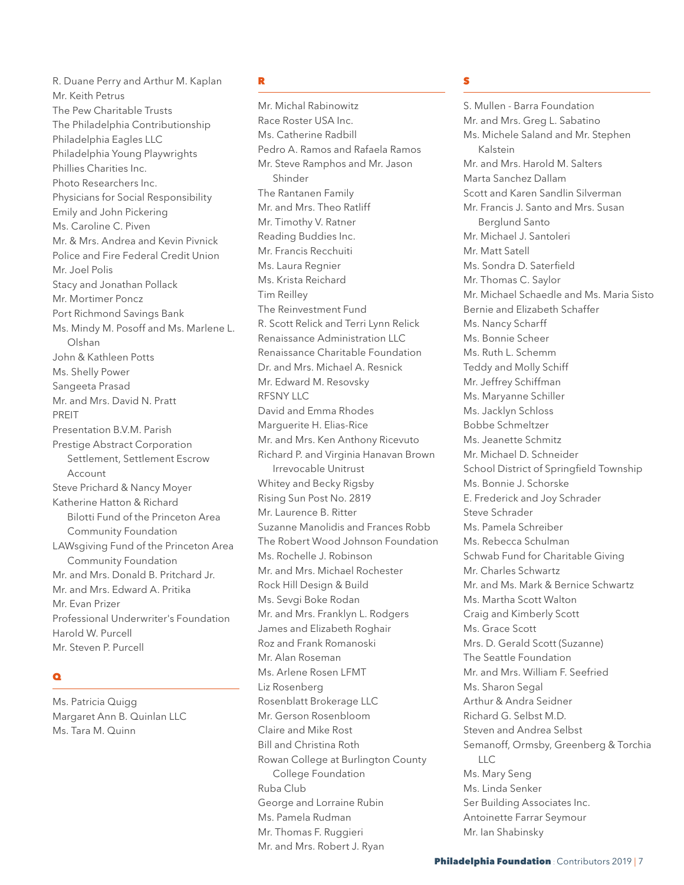R. Duane Perry and Arthur M. Kaplan Mr. Keith Petrus The Pew Charitable Trusts The Philadelphia Contributionship Philadelphia Eagles LLC Philadelphia Young Playwrights Phillies Charities Inc. Photo Researchers Inc. Physicians for Social Responsibility Emily and John Pickering Ms. Caroline C. Piven Mr. & Mrs. Andrea and Kevin Pivnick Police and Fire Federal Credit Union Mr. Joel Polis Stacy and Jonathan Pollack Mr. Mortimer Poncz Port Richmond Savings Bank Ms. Mindy M. Posoff and Ms. Marlene L. Olshan John & Kathleen Potts Ms. Shelly Power Sangeeta Prasad Mr. and Mrs. David N. Pratt PREIT Presentation B.V.M. Parish Prestige Abstract Corporation Settlement, Settlement Escrow Account Steve Prichard & Nancy Moyer Katherine Hatton & Richard Bilotti Fund of the Princeton Area Community Foundation LAWsgiving Fund of the Princeton Area Community Foundation Mr. and Mrs. Donald B. Pritchard Jr. Mr. and Mrs. Edward A. Pritika Mr. Evan Prizer Professional Underwriter's Foundation Harold W. Purcell Mr. Steven P. Purcell

#### $\bullet$

Ms. Patricia Quigg Margaret Ann B. Quinlan LLC Ms. Tara M. Quinn

#### R

Mr. Michal Rabinowitz Race Roster USA Inc. Ms. Catherine Radbill Pedro A. Ramos and Rafaela Ramos Mr. Steve Ramphos and Mr. Jason Shinder The Rantanen Family Mr. and Mrs. Theo Ratliff Mr. Timothy V. Ratner Reading Buddies Inc. Mr. Francis Recchuiti Ms. Laura Regnier Ms. Krista Reichard Tim Reilley The Reinvestment Fund R. Scott Relick and Terri Lynn Relick Renaissance Administration LLC Renaissance Charitable Foundation Dr. and Mrs. Michael A. Resnick Mr. Edward M. Resovsky RFSNY LLC David and Emma Rhodes Marguerite H. Elias-Rice Mr. and Mrs. Ken Anthony Ricevuto Richard P. and Virginia Hanavan Brown Irrevocable Unitrust Whitey and Becky Rigsby Rising Sun Post No. 2819 Mr. Laurence B. Ritter Suzanne Manolidis and Frances Robb The Robert Wood Johnson Foundation Ms. Rochelle J. Robinson Mr. and Mrs. Michael Rochester Rock Hill Design & Build Ms. Sevgi Boke Rodan Mr. and Mrs. Franklyn L. Rodgers James and Elizabeth Roghair Roz and Frank Romanoski Mr. Alan Roseman Ms. Arlene Rosen LFMT Liz Rosenberg Rosenblatt Brokerage LLC Mr. Gerson Rosenbloom Claire and Mike Rost Bill and Christina Roth Rowan College at Burlington County College Foundation Ruba Club George and Lorraine Rubin Ms. Pamela Rudman Mr. Thomas F. Ruggieri Mr. and Mrs. Robert J. Ryan

# S

S. Mullen - Barra Foundation Mr. and Mrs. Greg L. Sabatino Ms. Michele Saland and Mr. Stephen Kalstein Mr. and Mrs. Harold M. Salters Marta Sanchez Dallam Scott and Karen Sandlin Silverman Mr. Francis J. Santo and Mrs. Susan Berglund Santo Mr. Michael J. Santoleri Mr. Matt Satell Ms. Sondra D. Saterfield Mr. Thomas C. Saylor Mr. Michael Schaedle and Ms. Maria Sisto Bernie and Elizabeth Schaffer Ms. Nancy Scharff Ms. Bonnie Scheer Ms. Ruth L. Schemm Teddy and Molly Schiff Mr. Jeffrey Schiffman Ms. Maryanne Schiller Ms. Jacklyn Schloss Bobbe Schmeltzer Ms. Jeanette Schmitz Mr. Michael D. Schneider School District of Springfield Township Ms. Bonnie J. Schorske E. Frederick and Joy Schrader Steve Schrader Ms. Pamela Schreiber Ms. Rebecca Schulman Schwab Fund for Charitable Giving Mr. Charles Schwartz Mr. and Ms. Mark & Bernice Schwartz Ms. Martha Scott Walton Craig and Kimberly Scott Ms. Grace Scott Mrs. D. Gerald Scott (Suzanne) The Seattle Foundation Mr. and Mrs. William F. Seefried Ms. Sharon Segal Arthur & Andra Seidner Richard G. Selbst M.D. Steven and Andrea Selbst Semanoff, Ormsby, Greenberg & Torchia LLC Ms. Mary Seng Ms. Linda Senker Ser Building Associates Inc. Antoinette Farrar Seymour Mr. Ian Shabinsky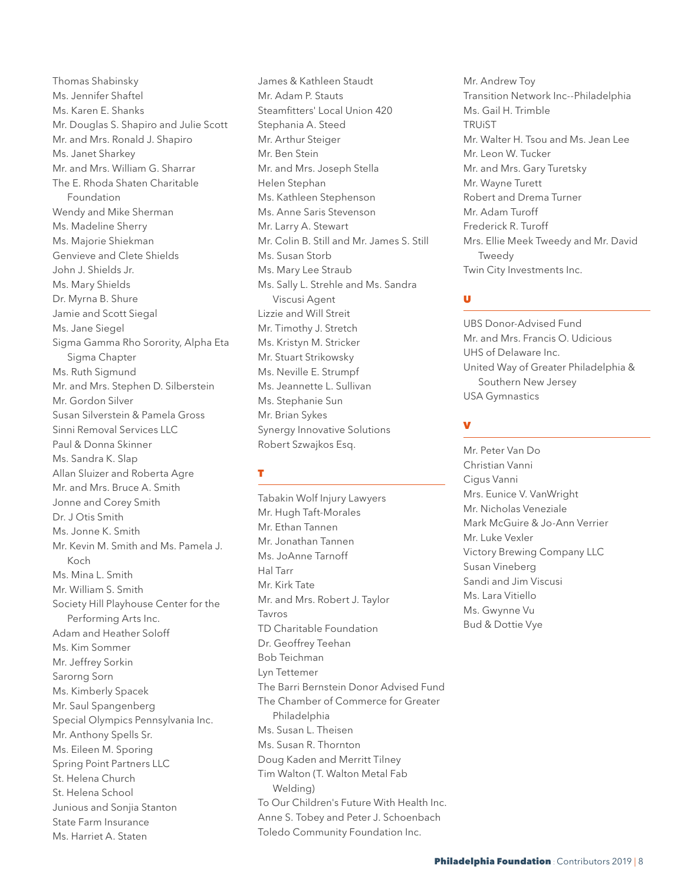Thomas Shabinsky Ms. Jennifer Shaftel Ms. Karen E. Shanks Mr. Douglas S. Shapiro and Julie Scott Mr. and Mrs. Ronald J. Shapiro Ms. Janet Sharkey Mr. and Mrs. William G. Sharrar The E. Rhoda Shaten Charitable Foundation Wendy and Mike Sherman Ms. Madeline Sherry Ms. Majorie Shiekman Genvieve and Clete Shields John J. Shields Jr. Ms. Mary Shields Dr. Myrna B. Shure Jamie and Scott Siegal Ms. Jane Siegel Sigma Gamma Rho Sorority, Alpha Eta Sigma Chapter Ms. Ruth Sigmund Mr. and Mrs. Stephen D. Silberstein Mr. Gordon Silver Susan Silverstein & Pamela Gross Sinni Removal Services LLC Paul & Donna Skinner Ms. Sandra K. Slap Allan Sluizer and Roberta Agre Mr. and Mrs. Bruce A. Smith Jonne and Corey Smith Dr. J Otis Smith Ms. Jonne K. Smith Mr. Kevin M. Smith and Ms. Pamela J. Koch Ms. Mina L. Smith Mr. William S. Smith Society Hill Playhouse Center for the Performing Arts Inc. Adam and Heather Soloff Ms. Kim Sommer Mr. Jeffrey Sorkin Sarorng Sorn Ms. Kimberly Spacek Mr. Saul Spangenberg Special Olympics Pennsylvania Inc. Mr. Anthony Spells Sr. Ms. Eileen M. Sporing Spring Point Partners LLC St. Helena Church St. Helena School Junious and Sonjia Stanton State Farm Insurance Ms. Harriet A. Staten

James & Kathleen Staudt Mr. Adam P. Stauts Steamfitters' Local Union 420 Stephania A. Steed Mr. Arthur Steiger Mr. Ben Stein Mr. and Mrs. Joseph Stella Helen Stephan Ms. Kathleen Stephenson Ms. Anne Saris Stevenson Mr. Larry A. Stewart Mr. Colin B. Still and Mr. James S. Still Ms. Susan Storb Ms. Mary Lee Straub Ms. Sally L. Strehle and Ms. Sandra Viscusi Agent Lizzie and Will Streit Mr. Timothy J. Stretch Ms. Kristyn M. Stricker Mr. Stuart Strikowsky Ms. Neville E. Strumpf Ms. Jeannette L. Sullivan Ms. Stephanie Sun Mr. Brian Sykes Synergy Innovative Solutions Robert Szwajkos Esq.

#### T

Tabakin Wolf Injury Lawyers Mr. Hugh Taft-Morales Mr. Ethan Tannen Mr. Jonathan Tannen Ms. JoAnne Tarnoff Hal Tarr Mr. Kirk Tate Mr. and Mrs. Robert J. Taylor Tavros TD Charitable Foundation Dr. Geoffrey Teehan Bob Teichman Lyn Tettemer The Barri Bernstein Donor Advised Fund The Chamber of Commerce for Greater Philadelphia Ms. Susan L. Theisen Ms. Susan R. Thornton Doug Kaden and Merritt Tilney Tim Walton (T. Walton Metal Fab Welding) To Our Children's Future With Health Inc. Anne S. Tobey and Peter J. Schoenbach Toledo Community Foundation Inc.

Mr. Andrew Toy Transition Network Inc--Philadelphia Ms. Gail H. Trimble TRUiST Mr. Walter H. Tsou and Ms. Jean Lee Mr. Leon W. Tucker Mr. and Mrs. Gary Turetsky Mr. Wayne Turett Robert and Drema Turner Mr. Adam Turoff Frederick R. Turoff Mrs. Ellie Meek Tweedy and Mr. David Tweedy Twin City Investments Inc.

# U

UBS Donor-Advised Fund Mr. and Mrs. Francis O. Udicious UHS of Delaware Inc. United Way of Greater Philadelphia & Southern New Jersey USA Gymnastics

# V

Mr. Peter Van Do Christian Vanni Cigus Vanni Mrs. Eunice V. VanWright Mr. Nicholas Veneziale Mark McGuire & Jo-Ann Verrier Mr. Luke Vexler Victory Brewing Company LLC Susan Vineberg Sandi and Jim Viscusi Ms. Lara Vitiello Ms. Gwynne Vu Bud & Dottie Vye